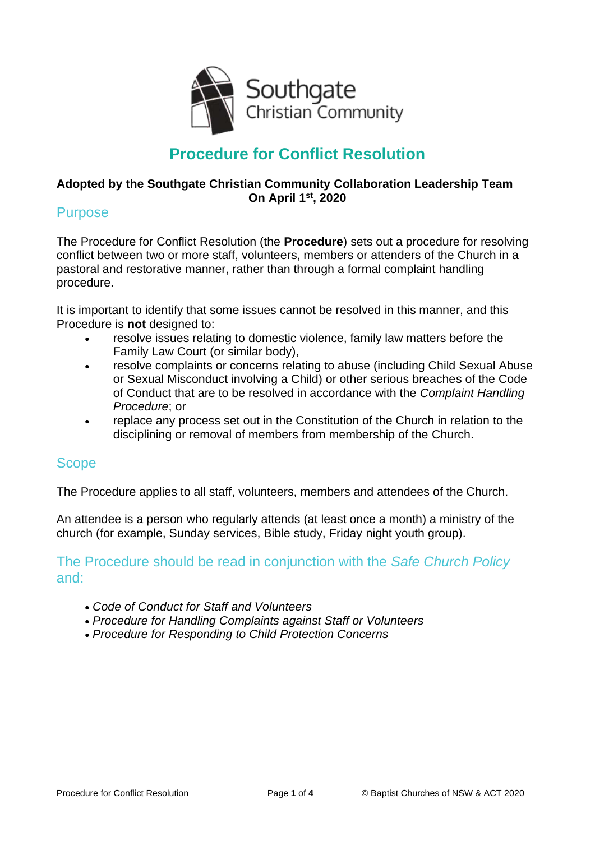

# **Procedure for Conflict Resolution**

#### **Adopted by the Southgate Christian Community Collaboration Leadership Team On April 1st, 2020**

#### **Purpose**

The Procedure for Conflict Resolution (the **Procedure**) sets out a procedure for resolving conflict between two or more staff, volunteers, members or attenders of the Church in a pastoral and restorative manner, rather than through a formal complaint handling procedure.

It is important to identify that some issues cannot be resolved in this manner, and this Procedure is **not** designed to:

- resolve issues relating to domestic violence, family law matters before the Family Law Court (or similar body),
- resolve complaints or concerns relating to abuse (including Child Sexual Abuse or Sexual Misconduct involving a Child) or other serious breaches of the Code of Conduct that are to be resolved in accordance with the *Complaint Handling Procedure*; or
- replace any process set out in the Constitution of the Church in relation to the disciplining or removal of members from membership of the Church.

# Scope

The Procedure applies to all staff, volunteers, members and attendees of the Church.

An attendee is a person who regularly attends (at least once a month) a ministry of the church (for example, Sunday services, Bible study, Friday night youth group).

#### The Procedure should be read in conjunction with the *Safe Church Policy* and:

- *Code of Conduct for Staff and Volunteers*
- *Procedure for Handling Complaints against Staff or Volunteers*
- *Procedure for Responding to Child Protection Concerns*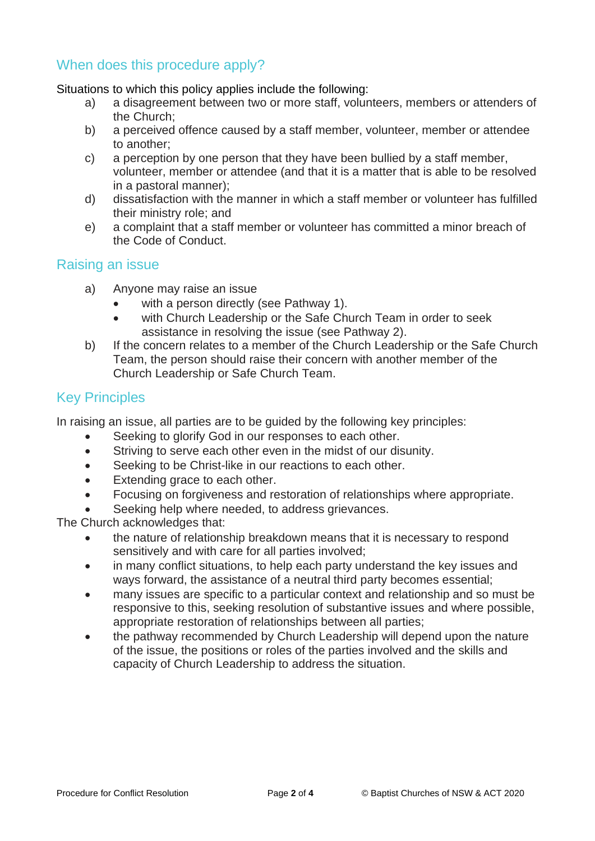# When does this procedure apply?

Situations to which this policy applies include the following:

- a) a disagreement between two or more staff, volunteers, members or attenders of the Church;
- b) a perceived offence caused by a staff member, volunteer, member or attendee to another;
- c) a perception by one person that they have been bullied by a staff member, volunteer, member or attendee (and that it is a matter that is able to be resolved in a pastoral manner);
- d) dissatisfaction with the manner in which a staff member or volunteer has fulfilled their ministry role; and
- e) a complaint that a staff member or volunteer has committed a minor breach of the Code of Conduct.

#### Raising an issue

- a) Anyone may raise an issue
	- with a person directly (see Pathway 1).
	- with Church Leadership or the Safe Church Team in order to seek assistance in resolving the issue (see Pathway 2).
- b) If the concern relates to a member of the Church Leadership or the Safe Church Team, the person should raise their concern with another member of the Church Leadership or Safe Church Team.

# Key Principles

In raising an issue, all parties are to be guided by the following key principles:

- Seeking to glorify God in our responses to each other.
- Striving to serve each other even in the midst of our disunity.
- Seeking to be Christ-like in our reactions to each other.
- Extending grace to each other.
- Focusing on forgiveness and restoration of relationships where appropriate.
- Seeking help where needed, to address grievances.

The Church acknowledges that:

- the nature of relationship breakdown means that it is necessary to respond sensitively and with care for all parties involved;
- in many conflict situations, to help each party understand the key issues and ways forward, the assistance of a neutral third party becomes essential;
- many issues are specific to a particular context and relationship and so must be responsive to this, seeking resolution of substantive issues and where possible, appropriate restoration of relationships between all parties;
- the pathway recommended by Church Leadership will depend upon the nature of the issue, the positions or roles of the parties involved and the skills and capacity of Church Leadership to address the situation.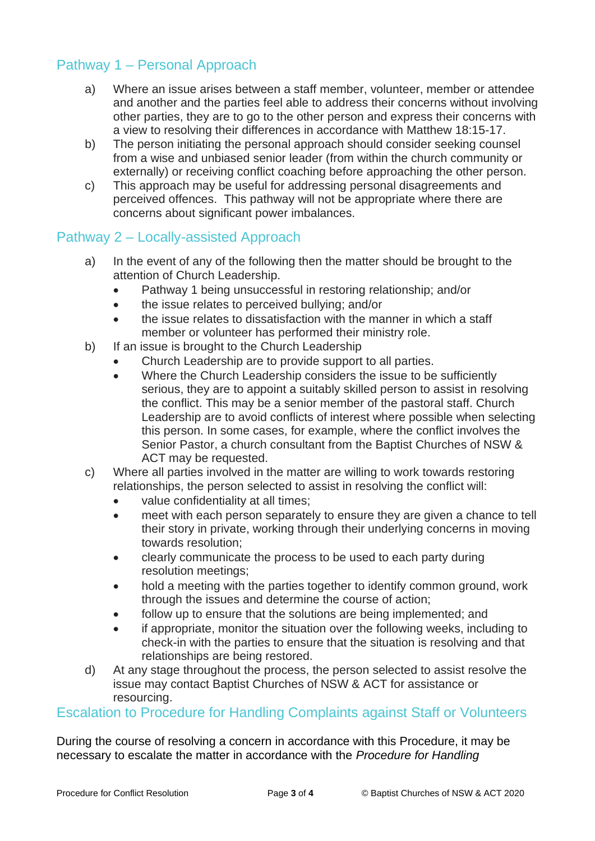# Pathway 1 – Personal Approach

- a) Where an issue arises between a staff member, volunteer, member or attendee and another and the parties feel able to address their concerns without involving other parties, they are to go to the other person and express their concerns with a view to resolving their differences in accordance with Matthew 18:15-17.
- b) The person initiating the personal approach should consider seeking counsel from a wise and unbiased senior leader (from within the church community or externally) or receiving conflict coaching before approaching the other person.
- c) This approach may be useful for addressing personal disagreements and perceived offences. This pathway will not be appropriate where there are concerns about significant power imbalances.

# Pathway 2 – Locally-assisted Approach

- a) In the event of any of the following then the matter should be brought to the attention of Church Leadership.
	- Pathway 1 being unsuccessful in restoring relationship; and/or
	- the issue relates to perceived bullying; and/or
	- the issue relates to dissatisfaction with the manner in which a staff member or volunteer has performed their ministry role.
- b) If an issue is brought to the Church Leadership
	- Church Leadership are to provide support to all parties.
	- Where the Church Leadership considers the issue to be sufficiently serious, they are to appoint a suitably skilled person to assist in resolving the conflict. This may be a senior member of the pastoral staff. Church Leadership are to avoid conflicts of interest where possible when selecting this person. In some cases, for example, where the conflict involves the Senior Pastor, a church consultant from the Baptist Churches of NSW & ACT may be requested.
- c) Where all parties involved in the matter are willing to work towards restoring relationships, the person selected to assist in resolving the conflict will:
	- value confidentiality at all times;
	- meet with each person separately to ensure they are given a chance to tell their story in private, working through their underlying concerns in moving towards resolution;
	- clearly communicate the process to be used to each party during resolution meetings;
	- hold a meeting with the parties together to identify common ground, work through the issues and determine the course of action;
	- follow up to ensure that the solutions are being implemented; and
	- if appropriate, monitor the situation over the following weeks, including to check-in with the parties to ensure that the situation is resolving and that relationships are being restored.
- d) At any stage throughout the process, the person selected to assist resolve the issue may contact Baptist Churches of NSW & ACT for assistance or resourcing.

# Escalation to Procedure for Handling Complaints against Staff or Volunteers

During the course of resolving a concern in accordance with this Procedure, it may be necessary to escalate the matter in accordance with the *Procedure for Handling*